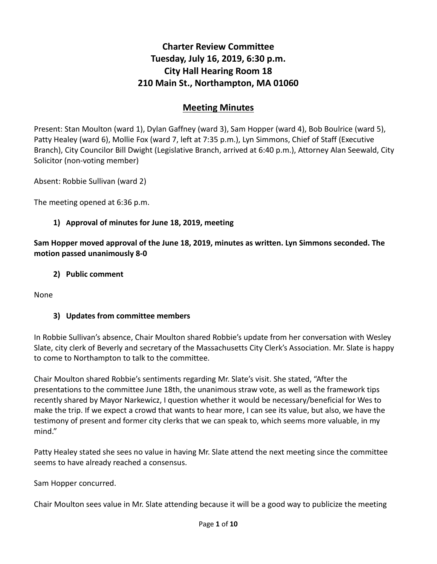# **Charter Review Committee Tuesday, July 16, 2019, 6:30 p.m. City Hall Hearing Room 18 210 Main St., Northampton, MA 01060**

## **Meeting Minutes**

Present: Stan Moulton (ward 1), Dylan Gaffney (ward 3), Sam Hopper (ward 4), Bob Boulrice (ward 5), Patty Healey (ward 6), Mollie Fox (ward 7, left at 7:35 p.m.), Lyn Simmons, Chief of Staff (Executive Branch), City Councilor Bill Dwight (Legislative Branch, arrived at 6:40 p.m.), Attorney Alan Seewald, City Solicitor (non-voting member)

Absent: Robbie Sullivan (ward 2)

The meeting opened at 6:36 p.m.

#### **1) Approval of minutes for June 18, 2019, meeting**

**Sam Hopper moved approval of the June 18, 2019, minutes as written. Lyn Simmons seconded. The motion passed unanimously 8-0**

#### **2) Public comment**

None

#### **3) Updates from committee members**

In Robbie Sullivan's absence, Chair Moulton shared Robbie's update from her conversation with Wesley Slate, city clerk of Beverly and secretary of the Massachusetts City Clerk's Association. Mr. Slate is happy to come to Northampton to talk to the committee.

Chair Moulton shared Robbie's sentiments regarding Mr. Slate's visit. She stated, "After the presentations to the committee June 18th, the unanimous straw vote, as well as the framework tips recently shared by Mayor Narkewicz, I question whether it would be necessary/beneficial for Wes to make the trip. If we expect a crowd that wants to hear more, I can see its value, but also, we have the testimony of present and former city clerks that we can speak to, which seems more valuable, in my mind."

Patty Healey stated she sees no value in having Mr. Slate attend the next meeting since the committee seems to have already reached a consensus.

Sam Hopper concurred.

Chair Moulton sees value in Mr. Slate attending because it will be a good way to publicize the meeting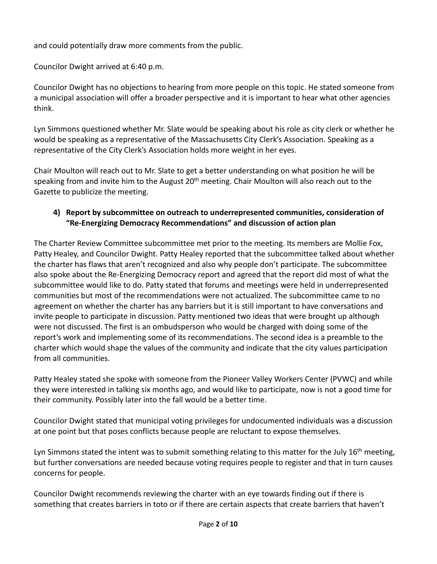and could potentially draw more comments from the public.

Councilor Dwight arrived at 6:40 p.m.

Councilor Dwight has no objections to hearing from more people on this topic. He stated someone from a municipal association will offer a broader perspective and it is important to hear what other agencies think.

Lyn Simmons questioned whether Mr. Slate would be speaking about his role as city clerk or whether he would be speaking as a representative of the Massachusetts City Clerk's Association. Speaking as a representative of the City Clerk's Association holds more weight in her eyes.

Chair Moulton will reach out to Mr. Slate to get a better understanding on what position he will be speaking from and invite him to the August 20<sup>th</sup> meeting. Chair Moulton will also reach out to the Gazette to publicize the meeting.

#### **4) Report by subcommittee on outreach to underrepresented communities, consideration of "Re-Energizing Democracy Recommendations" and discussion of action plan**

The Charter Review Committee subcommittee met prior to the meeting. Its members are Mollie Fox, Patty Healey, and Councilor Dwight. Patty Healey reported that the subcommittee talked about whether the charter has flaws that aren't recognized and also why people don't participate. The subcommittee also spoke about the Re-Energizing Democracy report and agreed that the report did most of what the subcommittee would like to do. Patty stated that forums and meetings were held in underrepresented communities but most of the recommendations were not actualized. The subcommittee came to no agreement on whether the charter has any barriers but it is still important to have conversations and invite people to participate in discussion. Patty mentioned two ideas that were brought up although were not discussed. The first is an ombudsperson who would be charged with doing some of the report's work and implementing some of its recommendations. The second idea is a preamble to the charter which would shape the values of the community and indicate that the city values participation from all communities.

Patty Healey stated she spoke with someone from the Pioneer Valley Workers Center (PVWC) and while they were interested in talking six months ago, and would like to participate, now is not a good time for their community. Possibly later into the fall would be a better time.

Councilor Dwight stated that municipal voting privileges for undocumented individuals was a discussion at one point but that poses conflicts because people are reluctant to expose themselves.

Lyn Simmons stated the intent was to submit something relating to this matter for the July  $16<sup>th</sup>$  meeting, but further conversations are needed because voting requires people to register and that in turn causes concerns for people.

Councilor Dwight recommends reviewing the charter with an eye towards finding out if there is something that creates barriers in toto or if there are certain aspects that create barriers that haven't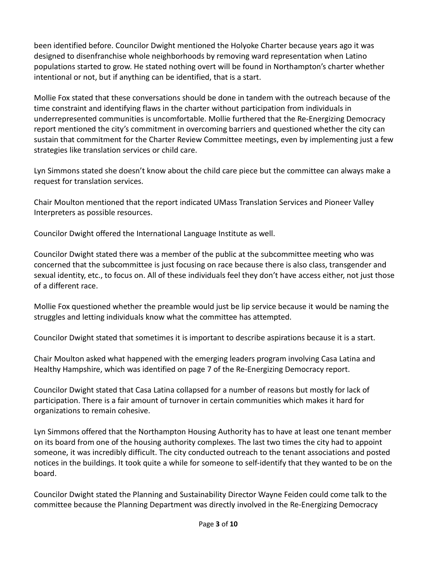been identified before. Councilor Dwight mentioned the Holyoke Charter because years ago it was designed to disenfranchise whole neighborhoods by removing ward representation when Latino populations started to grow. He stated nothing overt will be found in Northampton's charter whether intentional or not, but if anything can be identified, that is a start.

Mollie Fox stated that these conversations should be done in tandem with the outreach because of the time constraint and identifying flaws in the charter without participation from individuals in underrepresented communities is uncomfortable. Mollie furthered that the Re-Energizing Democracy report mentioned the city's commitment in overcoming barriers and questioned whether the city can sustain that commitment for the Charter Review Committee meetings, even by implementing just a few strategies like translation services or child care.

Lyn Simmons stated she doesn't know about the child care piece but the committee can always make a request for translation services.

Chair Moulton mentioned that the report indicated UMass Translation Services and Pioneer Valley Interpreters as possible resources.

Councilor Dwight offered the International Language Institute as well.

Councilor Dwight stated there was a member of the public at the subcommittee meeting who was concerned that the subcommittee is just focusing on race because there is also class, transgender and sexual identity, etc., to focus on. All of these individuals feel they don't have access either, not just those of a different race.

Mollie Fox questioned whether the preamble would just be lip service because it would be naming the struggles and letting individuals know what the committee has attempted.

Councilor Dwight stated that sometimes it is important to describe aspirations because it is a start.

Chair Moulton asked what happened with the emerging leaders program involving Casa Latina and Healthy Hampshire, which was identified on page 7 of the Re-Energizing Democracy report.

Councilor Dwight stated that Casa Latina collapsed for a number of reasons but mostly for lack of participation. There is a fair amount of turnover in certain communities which makes it hard for organizations to remain cohesive.

Lyn Simmons offered that the Northampton Housing Authority has to have at least one tenant member on its board from one of the housing authority complexes. The last two times the city had to appoint someone, it was incredibly difficult. The city conducted outreach to the tenant associations and posted notices in the buildings. It took quite a while for someone to self-identify that they wanted to be on the board.

Councilor Dwight stated the Planning and Sustainability Director Wayne Feiden could come talk to the committee because the Planning Department was directly involved in the Re-Energizing Democracy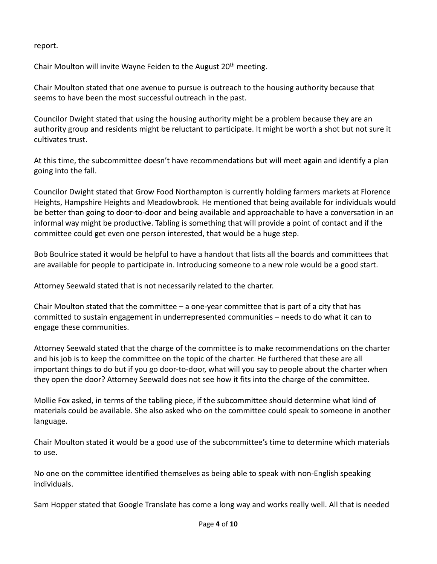#### report.

Chair Moulton will invite Wayne Feiden to the August 20<sup>th</sup> meeting.

Chair Moulton stated that one avenue to pursue is outreach to the housing authority because that seems to have been the most successful outreach in the past.

Councilor Dwight stated that using the housing authority might be a problem because they are an authority group and residents might be reluctant to participate. It might be worth a shot but not sure it cultivates trust.

At this time, the subcommittee doesn't have recommendations but will meet again and identify a plan going into the fall.

Councilor Dwight stated that Grow Food Northampton is currently holding farmers markets at Florence Heights, Hampshire Heights and Meadowbrook. He mentioned that being available for individuals would be better than going to door-to-door and being available and approachable to have a conversation in an informal way might be productive. Tabling is something that will provide a point of contact and if the committee could get even one person interested, that would be a huge step.

Bob Boulrice stated it would be helpful to have a handout that lists all the boards and committees that are available for people to participate in. Introducing someone to a new role would be a good start.

Attorney Seewald stated that is not necessarily related to the charter.

Chair Moulton stated that the committee – a one-year committee that is part of a city that has committed to sustain engagement in underrepresented communities – needs to do what it can to engage these communities.

Attorney Seewald stated that the charge of the committee is to make recommendations on the charter and his job is to keep the committee on the topic of the charter. He furthered that these are all important things to do but if you go door-to-door, what will you say to people about the charter when they open the door? Attorney Seewald does not see how it fits into the charge of the committee.

Mollie Fox asked, in terms of the tabling piece, if the subcommittee should determine what kind of materials could be available. She also asked who on the committee could speak to someone in another language.

Chair Moulton stated it would be a good use of the subcommittee's time to determine which materials to use.

No one on the committee identified themselves as being able to speak with non-English speaking individuals.

Sam Hopper stated that Google Translate has come a long way and works really well. All that is needed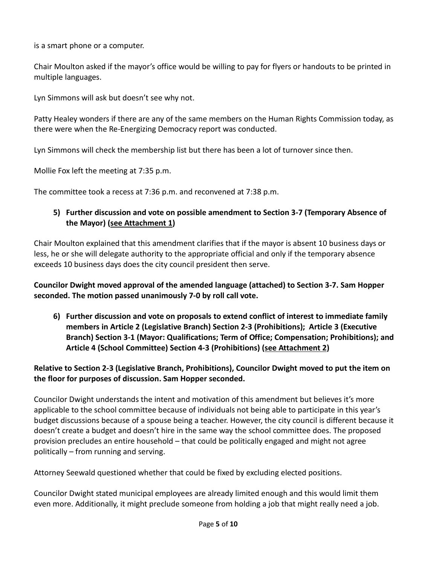is a smart phone or a computer.

Chair Moulton asked if the mayor's office would be willing to pay for flyers or handouts to be printed in multiple languages.

Lyn Simmons will ask but doesn't see why not.

Patty Healey wonders if there are any of the same members on the Human Rights Commission today, as there were when the Re-Energizing Democracy report was conducted.

Lyn Simmons will check the membership list but there has been a lot of turnover since then.

Mollie Fox left the meeting at 7:35 p.m.

The committee took a recess at 7:36 p.m. and reconvened at 7:38 p.m.

#### **5) Further discussion and vote on possible amendment to Section 3-7 (Temporary Absence of the Mayor) (see Attachment 1)**

Chair Moulton explained that this amendment clarifies that if the mayor is absent 10 business days or less, he or she will delegate authority to the appropriate official and only if the temporary absence exceeds 10 business days does the city council president then serve.

**Councilor Dwight moved approval of the amended language (attached) to Section 3-7. Sam Hopper seconded. The motion passed unanimously 7-0 by roll call vote.** 

**6) Further discussion and vote on proposals to extend conflict of interest to immediate family members in Article 2 (Legislative Branch) Section 2-3 (Prohibitions); Article 3 (Executive Branch) Section 3-1 (Mayor: Qualifications; Term of Office; Compensation; Prohibitions); and Article 4 (School Committee) Section 4-3 (Prohibitions) (see Attachment 2)**

#### **Relative to Section 2-3 (Legislative Branch, Prohibitions), Councilor Dwight moved to put the item on the floor for purposes of discussion. Sam Hopper seconded.**

Councilor Dwight understands the intent and motivation of this amendment but believes it's more applicable to the school committee because of individuals not being able to participate in this year's budget discussions because of a spouse being a teacher. However, the city council is different because it doesn't create a budget and doesn't hire in the same way the school committee does. The proposed provision precludes an entire household – that could be politically engaged and might not agree politically – from running and serving.

Attorney Seewald questioned whether that could be fixed by excluding elected positions.

Councilor Dwight stated municipal employees are already limited enough and this would limit them even more. Additionally, it might preclude someone from holding a job that might really need a job.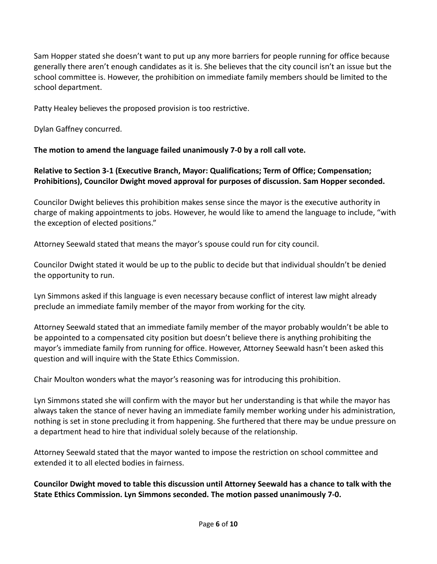Sam Hopper stated she doesn't want to put up any more barriers for people running for office because generally there aren't enough candidates as it is. She believes that the city council isn't an issue but the school committee is. However, the prohibition on immediate family members should be limited to the school department.

Patty Healey believes the proposed provision is too restrictive.

Dylan Gaffney concurred.

**The motion to amend the language failed unanimously 7-0 by a roll call vote.** 

#### **Relative to Section 3-1 (Executive Branch, Mayor: Qualifications; Term of Office; Compensation; Prohibitions), Councilor Dwight moved approval for purposes of discussion. Sam Hopper seconded.**

Councilor Dwight believes this prohibition makes sense since the mayor is the executive authority in charge of making appointments to jobs. However, he would like to amend the language to include, "with the exception of elected positions."

Attorney Seewald stated that means the mayor's spouse could run for city council.

Councilor Dwight stated it would be up to the public to decide but that individual shouldn't be denied the opportunity to run.

Lyn Simmons asked if this language is even necessary because conflict of interest law might already preclude an immediate family member of the mayor from working for the city.

Attorney Seewald stated that an immediate family member of the mayor probably wouldn't be able to be appointed to a compensated city position but doesn't believe there is anything prohibiting the mayor's immediate family from running for office. However, Attorney Seewald hasn't been asked this question and will inquire with the State Ethics Commission.

Chair Moulton wonders what the mayor's reasoning was for introducing this prohibition.

Lyn Simmons stated she will confirm with the mayor but her understanding is that while the mayor has always taken the stance of never having an immediate family member working under his administration, nothing is set in stone precluding it from happening. She furthered that there may be undue pressure on a department head to hire that individual solely because of the relationship.

Attorney Seewald stated that the mayor wanted to impose the restriction on school committee and extended it to all elected bodies in fairness.

**Councilor Dwight moved to table this discussion until Attorney Seewald has a chance to talk with the State Ethics Commission. Lyn Simmons seconded. The motion passed unanimously 7-0.**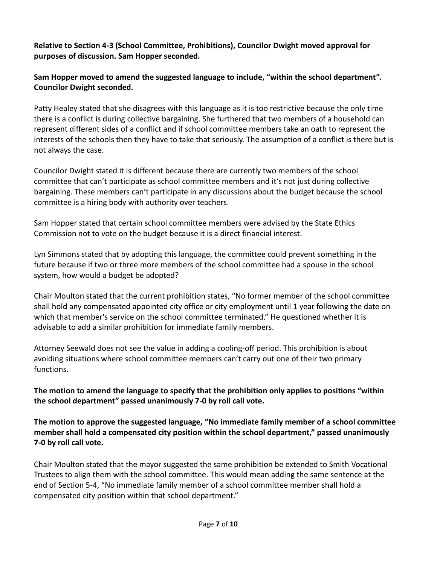**Relative to Section 4-3 (School Committee, Prohibitions), Councilor Dwight moved approval for purposes of discussion. Sam Hopper seconded.** 

**Sam Hopper moved to amend the suggested language to include, "within the school department". Councilor Dwight seconded.** 

Patty Healey stated that she disagrees with this language as it is too restrictive because the only time there is a conflict is during collective bargaining. She furthered that two members of a household can represent different sides of a conflict and if school committee members take an oath to represent the interests of the schools then they have to take that seriously. The assumption of a conflict is there but is not always the case.

Councilor Dwight stated it is different because there are currently two members of the school committee that can't participate as school committee members and it's not just during collective bargaining. These members can't participate in any discussions about the budget because the school committee is a hiring body with authority over teachers.

Sam Hopper stated that certain school committee members were advised by the State Ethics Commission not to vote on the budget because it is a direct financial interest.

Lyn Simmons stated that by adopting this language, the committee could prevent something in the future because if two or three more members of the school committee had a spouse in the school system, how would a budget be adopted?

Chair Moulton stated that the current prohibition states, "No former member of the school committee shall hold any compensated appointed city office or city employment until 1 year following the date on which that member's service on the school committee terminated." He questioned whether it is advisable to add a similar prohibition for immediate family members.

Attorney Seewald does not see the value in adding a cooling-off period. This prohibition is about avoiding situations where school committee members can't carry out one of their two primary functions.

**The motion to amend the language to specify that the prohibition only applies to positions "within the school department" passed unanimously 7-0 by roll call vote.** 

**The motion to approve the suggested language, "No immediate family member of a school committee member shall hold a compensated city position within the school department," passed unanimously 7-0 by roll call vote.** 

Chair Moulton stated that the mayor suggested the same prohibition be extended to Smith Vocational Trustees to align them with the school committee. This would mean adding the same sentence at the end of Section 5-4, "No immediate family member of a school committee member shall hold a compensated city position within that school department."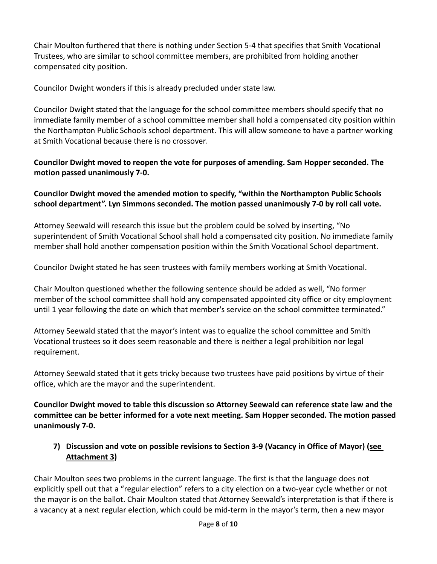Chair Moulton furthered that there is nothing under Section 5-4 that specifies that Smith Vocational Trustees, who are similar to school committee members, are prohibited from holding another compensated city position.

Councilor Dwight wonders if this is already precluded under state law.

Councilor Dwight stated that the language for the school committee members should specify that no immediate family member of a school committee member shall hold a compensated city position within the Northampton Public Schools school department. This will allow someone to have a partner working at Smith Vocational because there is no crossover.

**Councilor Dwight moved to reopen the vote for purposes of amending. Sam Hopper seconded. The motion passed unanimously 7-0.**

**Councilor Dwight moved the amended motion to specify, "within the Northampton Public Schools school department". Lyn Simmons seconded. The motion passed unanimously 7-0 by roll call vote.** 

Attorney Seewald will research this issue but the problem could be solved by inserting, "No superintendent of Smith Vocational School shall hold a compensated city position. No immediate family member shall hold another compensation position within the Smith Vocational School department.

Councilor Dwight stated he has seen trustees with family members working at Smith Vocational.

Chair Moulton questioned whether the following sentence should be added as well, "No former member of the school committee shall hold any compensated appointed city office or city employment until 1 year following the date on which that member's service on the school committee terminated."

Attorney Seewald stated that the mayor's intent was to equalize the school committee and Smith Vocational trustees so it does seem reasonable and there is neither a legal prohibition nor legal requirement.

Attorney Seewald stated that it gets tricky because two trustees have paid positions by virtue of their office, which are the mayor and the superintendent.

**Councilor Dwight moved to table this discussion so Attorney Seewald can reference state law and the committee can be better informed for a vote next meeting. Sam Hopper seconded. The motion passed unanimously 7-0.**

### **7) Discussion and vote on possible revisions to Section 3-9 (Vacancy in Office of Mayor) (see Attachment 3)**

Chair Moulton sees two problems in the current language. The first is that the language does not explicitly spell out that a "regular election" refers to a city election on a two-year cycle whether or not the mayor is on the ballot. Chair Moulton stated that Attorney Seewald's interpretation is that if there is a vacancy at a next regular election, which could be mid-term in the mayor's term, then a new mayor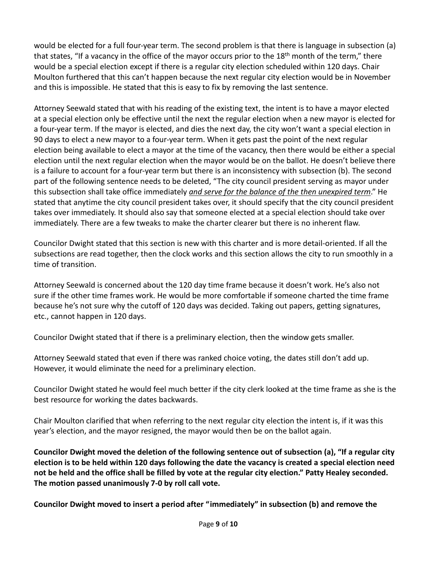would be elected for a full four-year term. The second problem is that there is language in subsection (a) that states, "If a vacancy in the office of the mayor occurs prior to the 18<sup>th</sup> month of the term," there would be a special election except if there is a regular city election scheduled within 120 days. Chair Moulton furthered that this can't happen because the next regular city election would be in November and this is impossible. He stated that this is easy to fix by removing the last sentence.

Attorney Seewald stated that with his reading of the existing text, the intent is to have a mayor elected at a special election only be effective until the next the regular election when a new mayor is elected for a four-year term. If the mayor is elected, and dies the next day, the city won't want a special election in 90 days to elect a new mayor to a four-year term. When it gets past the point of the next regular election being available to elect a mayor at the time of the vacancy, then there would be either a special election until the next regular election when the mayor would be on the ballot. He doesn't believe there is a failure to account for a four-year term but there is an inconsistency with subsection (b). The second part of the following sentence needs to be deleted, "The city council president serving as mayor under this subsection shall take office immediately *and serve for the balance of the then unexpired term*." He stated that anytime the city council president takes over, it should specify that the city council president takes over immediately. It should also say that someone elected at a special election should take over immediately. There are a few tweaks to make the charter clearer but there is no inherent flaw.

Councilor Dwight stated that this section is new with this charter and is more detail-oriented. If all the subsections are read together, then the clock works and this section allows the city to run smoothly in a time of transition.

Attorney Seewald is concerned about the 120 day time frame because it doesn't work. He's also not sure if the other time frames work. He would be more comfortable if someone charted the time frame because he's not sure why the cutoff of 120 days was decided. Taking out papers, getting signatures, etc., cannot happen in 120 days.

Councilor Dwight stated that if there is a preliminary election, then the window gets smaller.

Attorney Seewald stated that even if there was ranked choice voting, the dates still don't add up. However, it would eliminate the need for a preliminary election.

Councilor Dwight stated he would feel much better if the city clerk looked at the time frame as she is the best resource for working the dates backwards.

Chair Moulton clarified that when referring to the next regular city election the intent is, if it was this year's election, and the mayor resigned, the mayor would then be on the ballot again.

**Councilor Dwight moved the deletion of the following sentence out of subsection (a), "If a regular city election is to be held within 120 days following the date the vacancy is created a special election need not be held and the office shall be filled by vote at the regular city election." Patty Healey seconded. The motion passed unanimously 7-0 by roll call vote.** 

**Councilor Dwight moved to insert a period after "immediately" in subsection (b) and remove the**